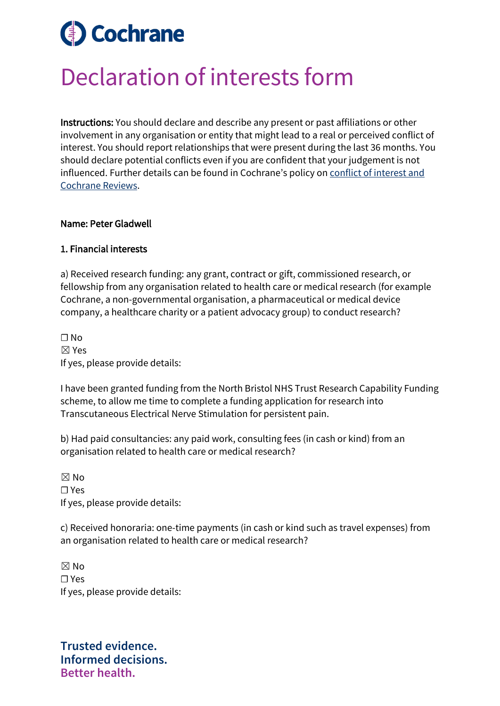## **Cochrane**  $\overline{\phantom{a}}$

# Declaration of interests form

Instructions: You should declare and describe any present or past affiliations or other involvement in any organisation or entity that might lead to a real or perceived conflict of interest. You should report relationships that were present during the last 36 months. You should declare potential conflicts even if you are confident that your judgement is not influenced. Further details can be found in Cochrane's policy on [conflict of interest and](https://documentation.cochrane.org/display/EPPR/Policy%3A+conflicts+of+interest+and+Cochrane+Reviews)  [Cochrane Reviews.](https://documentation.cochrane.org/display/EPPR/Policy%3A+conflicts+of+interest+and+Cochrane+Reviews)

#### Name: Peter Gladwell

#### 1. Financial interests

a) Received research funding: any grant, contract or gift, commissioned research, or fellowship from any organisation related to health care or medical research (for example Cochrane, a non-governmental organisation, a pharmaceutical or medical device company, a healthcare charity or a patient advocacy group) to conduct research?

 $\Box$  No ☒ Yes If yes, please provide details:

I have been granted funding from the North Bristol NHS Trust Research Capability Funding scheme, to allow me time to complete a funding application for research into Transcutaneous Electrical Nerve Stimulation for persistent pain.

b) Had paid consultancies: any paid work, consulting fees (in cash or kind) from an organisation related to health care or medical research?

 $\boxtimes$  No ☐ Yes If yes, please provide details:

c) Received honoraria: one-time payments (in cash or kind such as travel expenses) from an organisation related to health care or medical research?

 $\boxtimes$  No ☐ Yes If yes, please provide details:

**Trusted evidence. Informed decisions. Better health.**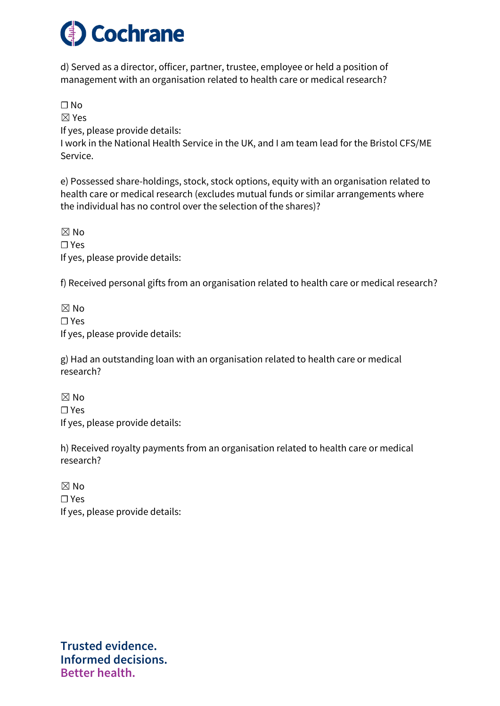

d) Served as a director, officer, partner, trustee, employee or held a position of management with an organisation related to health care or medical research?

☐ No

☒ Yes

If yes, please provide details:

I work in the National Health Service in the UK, and I am team lead for the Bristol CFS/ME Service.

e) Possessed share-holdings, stock, stock options, equity with an organisation related to health care or medical research (excludes mutual funds or similar arrangements where the individual has no control over the selection of the shares)?

 $\boxtimes$  No ☐ Yes If yes, please provide details:

f) Received personal gifts from an organisation related to health care or medical research?

 $\boxtimes$  No ☐ Yes If yes, please provide details:

g) Had an outstanding loan with an organisation related to health care or medical research?

 $\boxtimes$  No ☐ Yes If yes, please provide details:

h) Received royalty payments from an organisation related to health care or medical research?

 $\boxtimes$  No ☐ Yes If yes, please provide details:

**Trusted evidence. Informed decisions. Better health.**